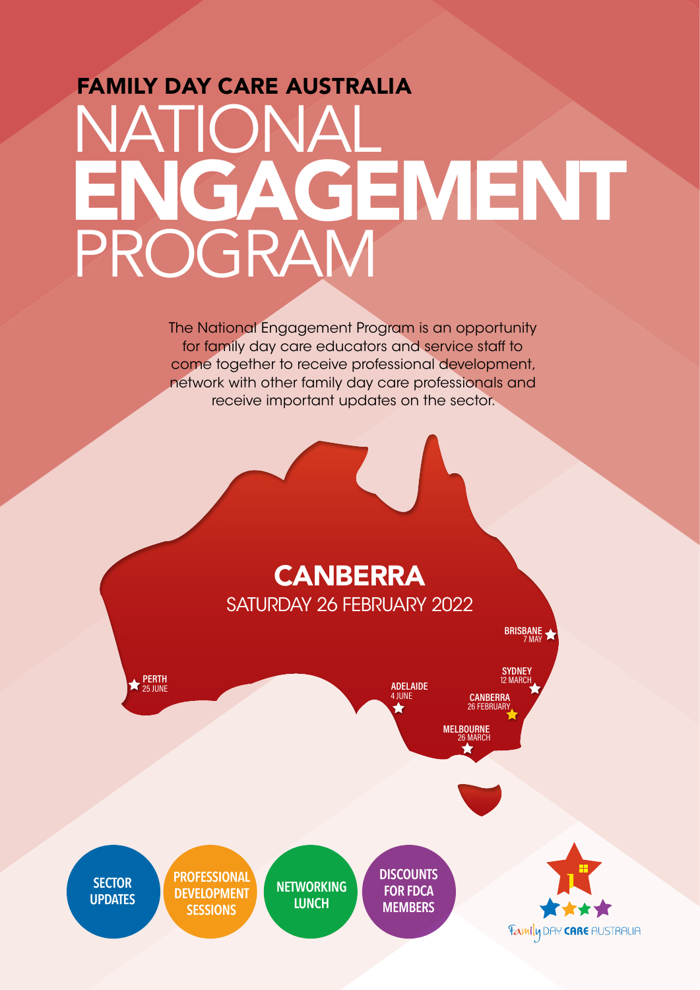## FAMILY DAY CARE AUSTRALIA NATIONAL PROGRAM ENGAGEMENT

The National Engagement Program is an opportunity for family day care educators and service staff to come together to receive professional development, network with other family day care professionals and receive important updates on the sector.

## **CANBERRA** SATURDAY 26 FEBRUARY 2022